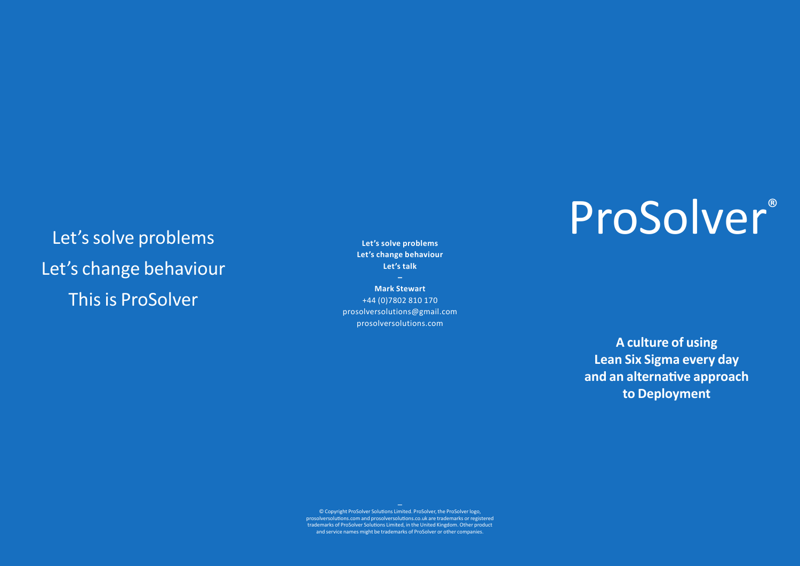## Let's solve problems Let's change behaviour This is ProSolver

**Let's solve problems Let's change behaviour Let's talk**

**Mark Stewart** +44 (0)7802 810 170 prosolversolutions@gmail.com prosolversolutions.com

# ProSolver®

**A culture of using Lean Six Sigma every day and an alternative approach to Deployment**

**—** © Copyright ProSolver Solutions Limited. ProSolver, the ProSolver logo, prosolversolutions.com and prosolversolutions.co.uk are trademarks or registered trademarks of ProSolver Solutions Limited, in the United Kingdom. Other product and service names might be trademarks of ProSolver or other companies.